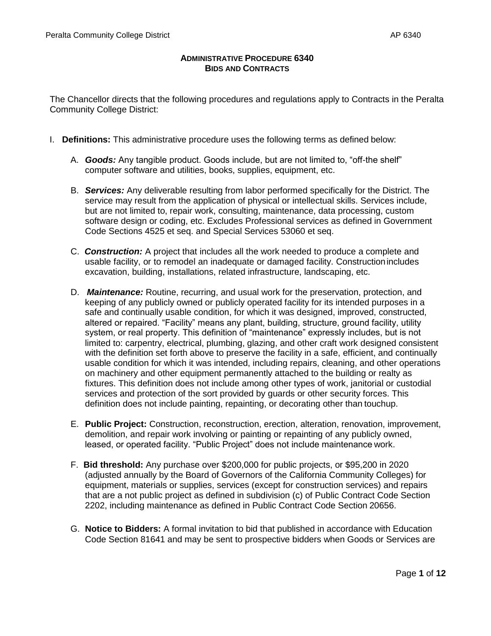### **ADMINISTRATIVE PROCEDURE 6340 BIDS AND CONTRACTS**

The Chancellor directs that the following procedures and regulations apply to Contracts in the Peralta Community College District:

- I. **Definitions:** This administrative procedure uses the following terms as defined below:
	- A. *Goods:* Any tangible product. Goods include, but are not limited to, "off-the shelf" computer software and utilities, books, supplies, equipment, etc.
	- B. *Services:* Any deliverable resulting from labor performed specifically for the District. The service may result from the application of physical or intellectual skills. Services include, but are not limited to, repair work, consulting, maintenance, data processing, custom software design or coding, etc. Excludes Professional services as defined in Government Code Sections 4525 et seq. and Special Services 53060 et seq.
	- C. *Construction:* A project that includes all the work needed to produce a complete and usable facility, or to remodel an inadequate or damaged facility. Constructionincludes excavation, building, installations, related infrastructure, landscaping, etc.
	- D. *Maintenance:* Routine, recurring, and usual work for the preservation, protection, and keeping of any publicly owned or publicly operated facility for its intended purposes in a safe and continually usable condition, for which it was designed, improved, constructed, altered or repaired. "Facility" means any plant, building, structure, ground facility, utility system, or real property. This definition of "maintenance" expressly includes, but is not limited to: carpentry, electrical, plumbing, glazing, and other craft work designed consistent with the definition set forth above to preserve the facility in a safe, efficient, and continually usable condition for which it was intended, including repairs, cleaning, and other operations on machinery and other equipment permanently attached to the building or realty as fixtures. This definition does not include among other types of work, janitorial or custodial services and protection of the sort provided by guards or other security forces. This definition does not include painting, repainting, or decorating other than touchup.
	- E. **Public Project:** Construction, reconstruction, erection, alteration, renovation, improvement, demolition, and repair work involving or painting or repainting of any publicly owned, leased, or operated facility. "Public Project" does not include maintenance work.
	- F. **Bid threshold:** Any purchase over \$200,000 for public projects, or \$95,200 in 2020 (adjusted annually by the Board of Governors of the California Community Colleges) for equipment, materials or supplies, services (except for construction services) and repairs that are a not public project as defined in subdivision (c) of Public Contract Code Section 2202, including maintenance as defined in Public Contract Code Section 20656.
	- G. **Notice to Bidders:** A formal invitation to bid that published in accordance with Education Code Section 81641 and may be sent to prospective bidders when Goods or Services are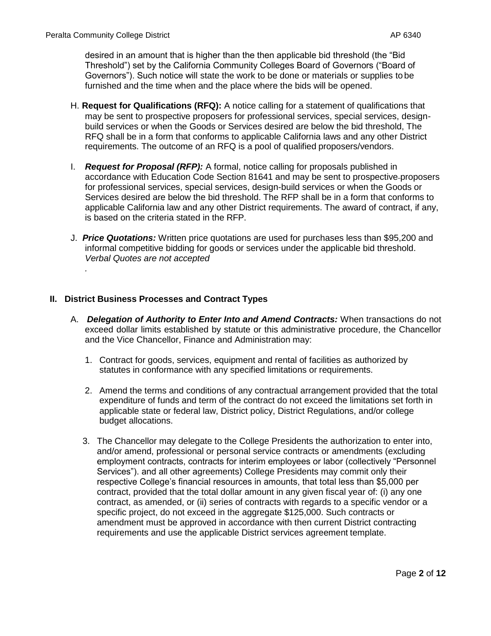*.*

desired in an amount that is higher than the then applicable bid threshold (the "Bid Threshold") set by the California Community Colleges Board of Governors ("Board of Governors"). Such notice will state the work to be done or materials or supplies to be furnished and the time when and the place where the bids will be opened.

- H. **Request for Qualifications (RFQ):** A notice calling for a statement of qualifications that may be sent to prospective proposers for professional services, special services, designbuild services or when the Goods or Services desired are below the bid threshold, The RFQ shall be in a form that conforms to applicable California laws and any other District requirements. The outcome of an RFQ is a pool of qualified proposers/vendors.
- I. *Request for Proposal (RFP):* A formal, notice calling for proposals published in accordance with Education Code Section 81641 and may be sent to prospective proposers for professional services, special services, design-build services or when the Goods or Services desired are below the bid threshold. The RFP shall be in a form that conforms to applicable California law and any other District requirements. The award of contract, if any, is based on the criteria stated in the RFP.
- J. *Price Quotations:* Written price quotations are used for purchases less than \$95,200 and informal competitive bidding for goods or services under the applicable bid threshold. *Verbal Quotes are not accepted*

### **II. District Business Processes and Contract Types**

- A. *Delegation of Authority to Enter Into and Amend Contracts:* When transactions do not exceed dollar limits established by statute or this administrative procedure, the Chancellor and the Vice Chancellor, Finance and Administration may:
	- 1. Contract for goods, services, equipment and rental of facilities as authorized by statutes in conformance with any specified limitations or requirements.
	- 2. Amend the terms and conditions of any contractual arrangement provided that the total expenditure of funds and term of the contract do not exceed the limitations set forth in applicable state or federal law, District policy, District Regulations, and/or college budget allocations.
	- 3. The Chancellor may delegate to the College Presidents the authorization to enter into, and/or amend, professional or personal service contracts or amendments (excluding employment contracts, contracts for interim employees or labor (collectively "Personnel Services"). and all other agreements) College Presidents may commit only their respective College's financial resources in amounts, that total less than \$5,000 per contract, provided that the total dollar amount in any given fiscal year of: (i) any one contract, as amended, or (ii) series of contracts with regards to a specific vendor or a specific project, do not exceed in the aggregate \$125,000. Such contracts or amendment must be approved in accordance with then current District contracting requirements and use the applicable District services agreement template.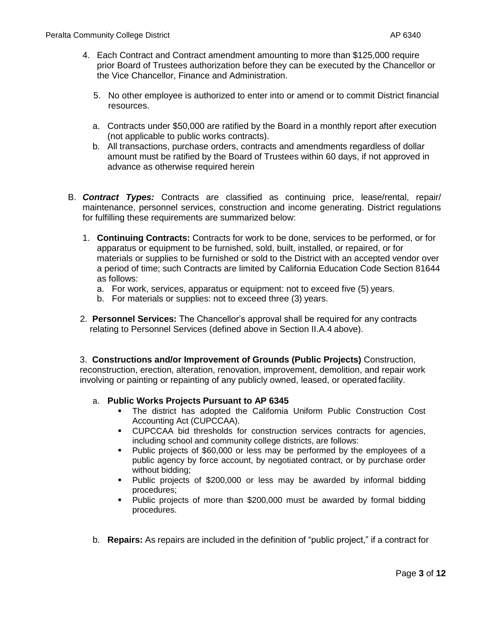- 4. Each Contract and Contract amendment amounting to more than \$125,000 require prior Board of Trustees authorization before they can be executed by the Chancellor or the Vice Chancellor, Finance and Administration.
	- 5. No other employee is authorized to enter into or amend or to commit District financial resources.
	- a. Contracts under \$50,000 are ratified by the Board in a monthly report after execution (not applicable to public works contracts).
	- b. All transactions, purchase orders, contracts and amendments regardless of dollar amount must be ratified by the Board of Trustees within 60 days, if not approved in advance as otherwise required herein
- B. *Contract Types:* Contracts are classified as continuing price, lease/rental, repair/ maintenance, personnel services, construction and income generating. District regulations for fulfilling these requirements are summarized below:
	- 1. **Continuing Contracts:** Contracts for work to be done, services to be performed, or for apparatus or equipment to be furnished, sold, built, installed, or repaired, or for materials or supplies to be furnished or sold to the District with an accepted vendor over a period of time; such Contracts are limited by California Education Code Section 81644 as follows:
		- a. For work, services, apparatus or equipment: not to exceed five (5) years.
		- b. For materials or supplies: not to exceed three (3) years.
	- 2. **Personnel Services:** The Chancellor's approval shall be required for any contracts relating to Personnel Services (defined above in Section II.A.4 above).

3. **Constructions and/or Improvement of Grounds (Public Projects)** Construction, reconstruction, erection, alteration, renovation, improvement, demolition, and repair work involving or painting or repainting of any publicly owned, leased, or operated facility.

#### a. **Public Works Projects Pursuant to AP 6345**

- The district has adopted the California Uniform Public Construction Cost Accounting Act (CUPCCAA).
- CUPCCAA bid thresholds for construction services contracts for agencies, including school and community college districts, are follows:
- Public projects of \$60,000 or less may be performed by the employees of a public agency by force account, by negotiated contract, or by purchase order without bidding;
- Public projects of \$200,000 or less may be awarded by informal bidding procedures;
- Public projects of more than \$200,000 must be awarded by formal bidding procedures.
- b. **Repairs:** As repairs are included in the definition of "public project," if a contract for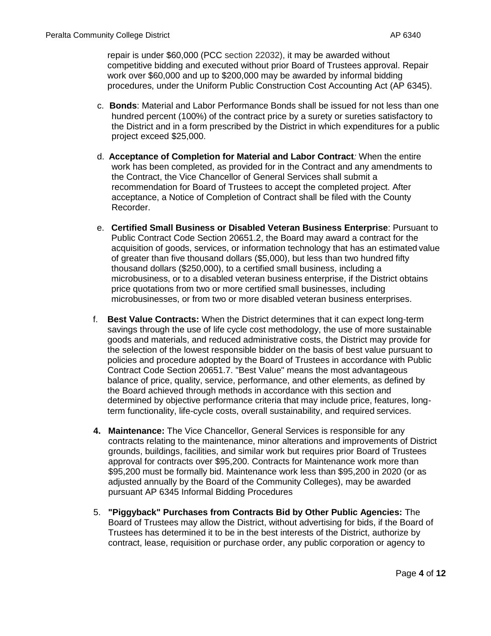repair is under \$60,000 (PCC section 22032), it may be awarded without competitive bidding and executed without prior Board of Trustees approval. Repair work over \$60,000 and up to \$200,000 may be awarded by informal bidding procedures, under the Uniform Public Construction Cost Accounting Act (AP 6345).

- c. **Bonds**: Material and Labor Performance Bonds shall be issued for not less than one hundred percent (100%) of the contract price by a surety or sureties satisfactory to the District and in a form prescribed by the District in which expenditures for a public project exceed \$25,000.
- d. **Acceptance of Completion for Material and Labor Contract***:* When the entire work has been completed, as provided for in the Contract and any amendments to the Contract, the Vice Chancellor of General Services shall submit a recommendation for Board of Trustees to accept the completed project. After acceptance, a Notice of Completion of Contract shall be filed with the County Recorder.
- e. **Certified Small Business or Disabled Veteran Business Enterprise**: Pursuant to Public Contract Code Section 20651.2, the Board may award a contract for the acquisition of goods, services, or information technology that has an estimated value of greater than five thousand dollars (\$5,000), but less than two hundred fifty thousand dollars (\$250,000), to a certified small business, including a microbusiness, or to a disabled veteran business enterprise, if the District obtains price quotations from two or more certified small businesses, including microbusinesses, or from two or more disabled veteran business enterprises.
- f. **Best Value Contracts:** When the District determines that it can expect long-term savings through the use of life cycle cost methodology, the use of more sustainable goods and materials, and reduced administrative costs, the District may provide for the selection of the lowest responsible bidder on the basis of best value pursuant to policies and procedure adopted by the Board of Trustees in accordance with Public Contract Code Section 20651.7. "Best Value" means the most advantageous balance of price, quality, service, performance, and other elements, as defined by the Board achieved through methods in accordance with this section and determined by objective performance criteria that may include price, features, longterm functionality, life-cycle costs, overall sustainability, and required services.
- **4. Maintenance:** The Vice Chancellor, General Services is responsible for any contracts relating to the maintenance, minor alterations and improvements of District grounds, buildings, facilities, and similar work but requires prior Board of Trustees approval for contracts over \$95,200. Contracts for Maintenance work more than \$95,200 must be formally bid. Maintenance work less than \$95,200 in 2020 (or as adjusted annually by the Board of the Community Colleges), may be awarded pursuant AP 6345 Informal Bidding Procedures
- 5. **"Piggyback" Purchases from Contracts Bid by Other Public Agencies:** The Board of Trustees may allow the District, without advertising for bids, if the Board of Trustees has determined it to be in the best interests of the District, authorize by contract, lease, requisition or purchase order, any public corporation or agency to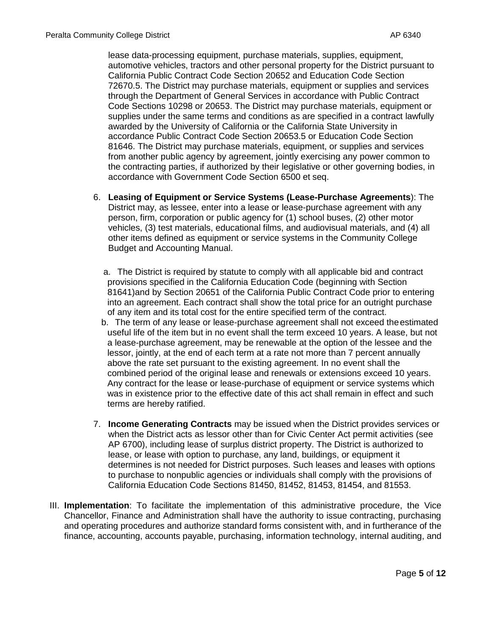lease data-processing equipment, purchase materials, supplies, equipment, automotive vehicles, tractors and other personal property for the District pursuant to California Public Contract Code Section 20652 and Education Code Section 72670.5. The District may purchase materials, equipment or supplies and services through the Department of General Services in accordance with Public Contract Code Sections 10298 or 20653. The District may purchase materials, equipment or supplies under the same terms and conditions as are specified in a contract lawfully awarded by the University of California or the California State University in accordance Public Contract Code Section 20653.5 or Education Code Section 81646. The District may purchase materials, equipment, or supplies and services from another public agency by agreement, jointly exercising any power common to the contracting parties, if authorized by their legislative or other governing bodies, in accordance with Government Code Section 6500 et seq.

- 6. **Leasing of Equipment or Service Systems (Lease-Purchase Agreements**): The District may, as lessee, enter into a lease or lease-purchase agreement with any person, firm, corporation or public agency for (1) school buses, (2) other motor vehicles, (3) test materials, educational films, and audiovisual materials, and (4) all other items defined as equipment or service systems in the Community College Budget and Accounting Manual.
	- a. The District is required by statute to comply with all applicable bid and contract provisions specified in the California Education Code (beginning with Section 81641)and by Section 20651 of the California Public Contract Code prior to entering into an agreement. Each contract shall show the total price for an outright purchase of any item and its total cost for the entire specified term of the contract.
	- b. The term of any lease or lease-purchase agreement shall not exceed theestimated useful life of the item but in no event shall the term exceed 10 years. A lease, but not a lease-purchase agreement, may be renewable at the option of the lessee and the lessor, jointly, at the end of each term at a rate not more than 7 percent annually above the rate set pursuant to the existing agreement. In no event shall the combined period of the original lease and renewals or extensions exceed 10 years. Any contract for the lease or lease-purchase of equipment or service systems which was in existence prior to the effective date of this act shall remain in effect and such terms are hereby ratified.
- 7. **Income Generating Contracts** may be issued when the District provides services or when the District acts as lessor other than for Civic Center Act permit activities (see AP 6700), including lease of surplus district property. The District is authorized to lease, or lease with option to purchase, any land, buildings, or equipment it determines is not needed for District purposes. Such leases and leases with options to purchase to nonpublic agencies or individuals shall comply with the provisions of California Education Code Sections 81450, 81452, 81453, 81454, and 81553.
- III. **Implementation**: To facilitate the implementation of this administrative procedure, the Vice Chancellor, Finance and Administration shall have the authority to issue contracting, purchasing and operating procedures and authorize standard forms consistent with, and in furtherance of the finance, accounting, accounts payable, purchasing, information technology, internal auditing, and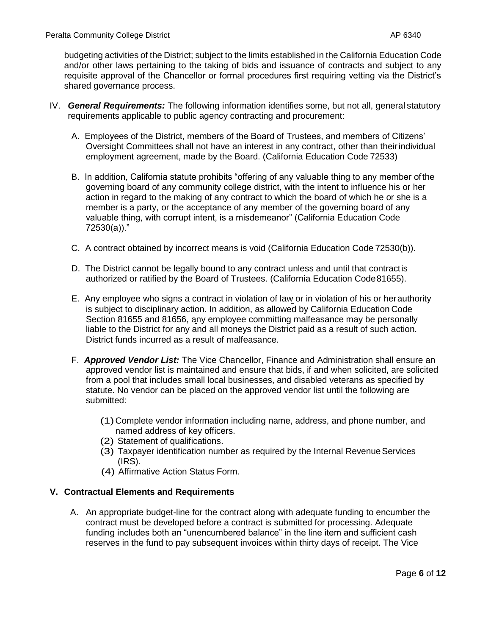budgeting activities of the District; subject to the limits established in the California Education Code and/or other laws pertaining to the taking of bids and issuance of contracts and subject to any requisite approval of the Chancellor or formal procedures first requiring vetting via the District's shared governance process.

- IV. *General Requirements:* The following information identifies some, but not all, general statutory requirements applicable to public agency contracting and procurement:
	- A. Employees of the District, members of the Board of Trustees, and members of Citizens' Oversight Committees shall not have an interest in any contract, other than theirindividual employment agreement, made by the Board. (California Education Code 72533)
	- B. In addition, California statute prohibits "offering of any valuable thing to any member ofthe governing board of any community college district, with the intent to influence his or her action in regard to the making of any contract to which the board of which he or she is a member is a party, or the acceptance of any member of the governing board of any valuable thing, with corrupt intent, is a misdemeanor" (California Education Code 72530(a))."
	- C. A contract obtained by incorrect means is void (California Education Code 72530(b)).
	- D. The District cannot be legally bound to any contract unless and until that contractis authorized or ratified by the Board of Trustees. (California Education Code81655).
	- E. Any employee who signs a contract in violation of law or in violation of his or herauthority is subject to disciplinary action. In addition, as allowed by California Education Code Section 81655 and 81656, any employee committing malfeasance may be personally liable to the District for any and all moneys the District paid as a result of such action. District funds incurred as a result of malfeasance.
	- F. *Approved Vendor List:* The Vice Chancellor, Finance and Administration shall ensure an approved vendor list is maintained and ensure that bids, if and when solicited, are solicited from a pool that includes small local businesses, and disabled veterans as specified by statute. No vendor can be placed on the approved vendor list until the following are submitted:
		- (1)Complete vendor information including name, address, and phone number, and named address of key officers.
		- (2) Statement of qualifications.
		- (3) Taxpayer identification number as required by the Internal Revenue Services (IRS).
		- (4) Affirmative Action Status Form.

# **V. Contractual Elements and Requirements**

A. An appropriate budget-line for the contract along with adequate funding to encumber the contract must be developed before a contract is submitted for processing. Adequate funding includes both an "unencumbered balance" in the line item and sufficient cash reserves in the fund to pay subsequent invoices within thirty days of receipt. The Vice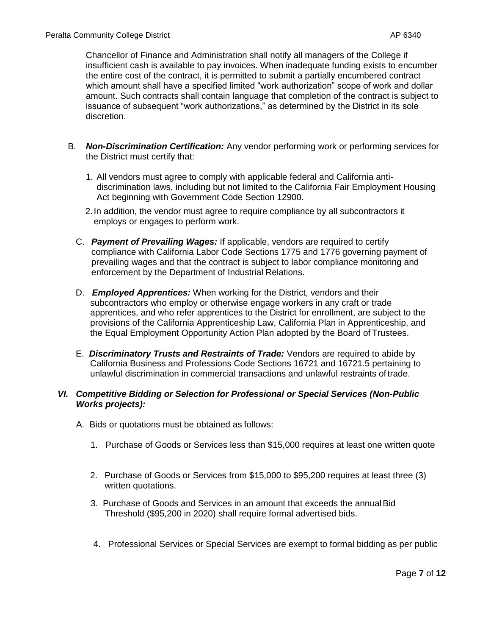Chancellor of Finance and Administration shall notify all managers of the College if insufficient cash is available to pay invoices. When inadequate funding exists to encumber the entire cost of the contract, it is permitted to submit a partially encumbered contract which amount shall have a specified limited "work authorization" scope of work and dollar amount. Such contracts shall contain language that completion of the contract is subject to issuance of subsequent "work authorizations," as determined by the District in its sole discretion.

- B. *Non-Discrimination Certification:* Any vendor performing work or performing services for the District must certify that:
	- 1. All vendors must agree to comply with applicable federal and California antidiscrimination laws, including but not limited to the California Fair Employment Housing Act beginning with Government Code Section 12900.
	- 2.In addition, the vendor must agree to require compliance by all subcontractors it employs or engages to perform work.
	- C. *Payment of Prevailing Wages:* If applicable, vendors are required to certify compliance with California Labor Code Sections 1775 and 1776 governing payment of prevailing wages and that the contract is subject to labor compliance monitoring and enforcement by the Department of Industrial Relations.
	- D. *Employed Apprentices:* When working for the District, vendors and their subcontractors who employ or otherwise engage workers in any craft or trade apprentices, and who refer apprentices to the District for enrollment, are subject to the provisions of the California Apprenticeship Law, California Plan in Apprenticeship, and the Equal Employment Opportunity Action Plan adopted by the Board of Trustees.
	- E. *Discriminatory Trusts and Restraints of Trade:* Vendors are required to abide by California Business and Professions Code Sections 16721 and 16721.5 pertaining to unlawful discrimination in commercial transactions and unlawful restraints of trade.

### *VI. Competitive Bidding or Selection for Professional or Special Services (Non-Public Works projects):*

- A. Bids or quotations must be obtained as follows:
	- 1. Purchase of Goods or Services less than \$15,000 requires at least one written quote
	- 2. Purchase of Goods or Services from \$15,000 to \$95,200 requires at least three (3) written quotations.
	- 3. Purchase of Goods and Services in an amount that exceeds the annualBid Threshold (\$95,200 in 2020) shall require formal advertised bids.
	- 4. Professional Services or Special Services are exempt to formal bidding as per public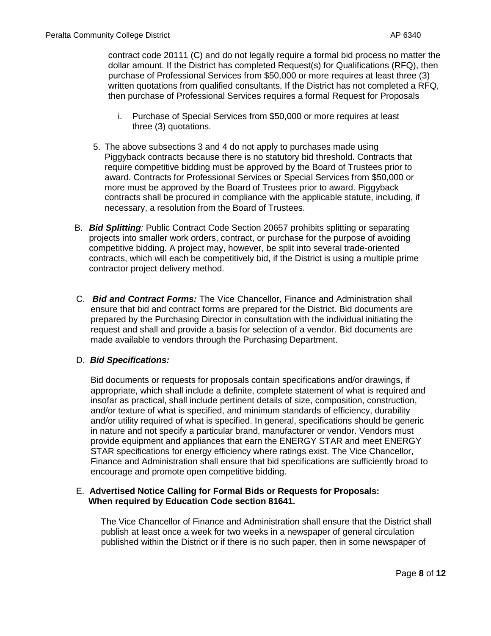contract code 20111 (C) and do not legally require a formal bid process no matter the dollar amount. If the District has completed Request(s) for Qualifications (RFQ), then purchase of Professional Services from \$50,000 or more requires at least three (3) written quotations from qualified consultants, If the District has not completed a RFQ, then purchase of Professional Services requires a formal Request for Proposals

- i. Purchase of Special Services from \$50,000 or more requires at least three (3) quotations.
- 5. The above subsections 3 and 4 do not apply to purchases made using Piggyback contracts because there is no statutory bid threshold. Contracts that require competitive bidding must be approved by the Board of Trustees prior to award. Contracts for Professional Services or Special Services from \$50,000 or more must be approved by the Board of Trustees prior to award. Piggyback contracts shall be procured in compliance with the applicable statute, including, if necessary, a resolution from the Board of Trustees.
- B. *Bid Splitting:* Public Contract Code Section 20657 prohibits splitting or separating projects into smaller work orders, contract, or purchase for the purpose of avoiding competitive bidding. A project may, however, be split into several trade-oriented contracts, which will each be competitively bid, if the District is using a multiple prime contractor project delivery method.
- C. *Bid and Contract Forms:* The Vice Chancellor, Finance and Administration shall ensure that bid and contract forms are prepared for the District. Bid documents are prepared by the Purchasing Director in consultation with the individual initiating the request and shall and provide a basis for selection of a vendor. Bid documents are made available to vendors through the Purchasing Department.

#### D. *Bid Specifications:*

Bid documents or requests for proposals contain specifications and/or drawings, if appropriate, which shall include a definite, complete statement of what is required and insofar as practical, shall include pertinent details of size, composition, construction, and/or texture of what is specified, and minimum standards of efficiency, durability and/or utility required of what is specified. In general, specifications should be generic in nature and not specify a particular brand, manufacturer or vendor. Vendors must provide equipment and appliances that earn the ENERGY STAR and meet ENERGY STAR specifications for energy efficiency where ratings exist. The Vice Chancellor, Finance and Administration shall ensure that bid specifications are sufficiently broad to encourage and promote open competitive bidding.

### E. **Advertised Notice Calling for Formal Bids or Requests for Proposals: When required by Education Code section 81641.**

The Vice Chancellor of Finance and Administration shall ensure that the District shall publish at least once a week for two weeks in a newspaper of general circulation published within the District or if there is no such paper, then in some newspaper of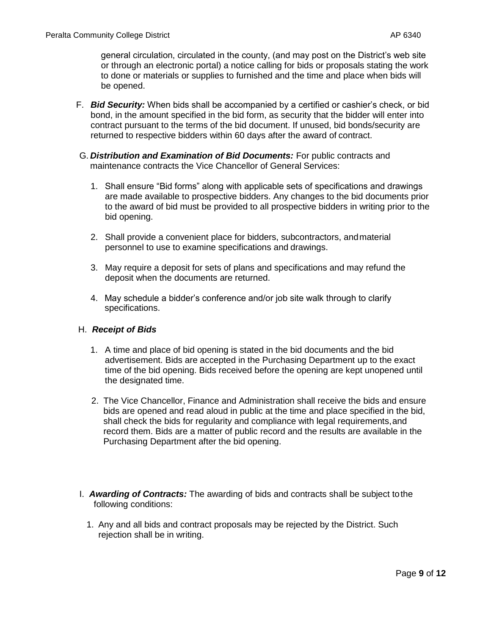general circulation, circulated in the county, (and may post on the District's web site or through an electronic portal) a notice calling for bids or proposals stating the work to done or materials or supplies to furnished and the time and place when bids will be opened.

- F. *Bid Security:* When bids shall be accompanied by a certified or cashier's check, or bid bond, in the amount specified in the bid form, as security that the bidder will enter into contract pursuant to the terms of the bid document. If unused, bid bonds/security are returned to respective bidders within 60 days after the award of contract.
- G. *Distribution and Examination of Bid Documents:* For public contracts and maintenance contracts the Vice Chancellor of General Services:
	- 1. Shall ensure "Bid forms" along with applicable sets of specifications and drawings are made available to prospective bidders. Any changes to the bid documents prior to the award of bid must be provided to all prospective bidders in writing prior to the bid opening.
	- 2. Shall provide a convenient place for bidders, subcontractors, andmaterial personnel to use to examine specifications and drawings.
	- 3. May require a deposit for sets of plans and specifications and may refund the deposit when the documents are returned.
	- 4. May schedule a bidder's conference and/or job site walk through to clarify specifications.

# H. *Receipt of Bids*

- 1. A time and place of bid opening is stated in the bid documents and the bid advertisement. Bids are accepted in the Purchasing Department up to the exact time of the bid opening. Bids received before the opening are kept unopened until the designated time.
- 2. The Vice Chancellor, Finance and Administration shall receive the bids and ensure bids are opened and read aloud in public at the time and place specified in the bid, shall check the bids for regularity and compliance with legal requirements,and record them. Bids are a matter of public record and the results are available in the Purchasing Department after the bid opening.
- I. *Awarding of Contracts:* The awarding of bids and contracts shall be subject tothe following conditions:
	- 1. Any and all bids and contract proposals may be rejected by the District. Such rejection shall be in writing.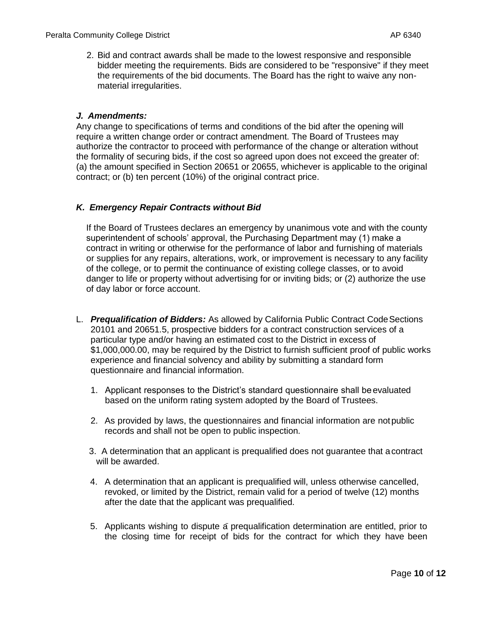2. Bid and contract awards shall be made to the lowest responsive and responsible bidder meeting the requirements. Bids are considered to be "responsive" if they meet the requirements of the bid documents. The Board has the right to waive any nonmaterial irregularities.

# *J. Amendments:*

Any change to specifications of terms and conditions of the bid after the opening will require a written change order or contract amendment. The Board of Trustees may authorize the contractor to proceed with performance of the change or alteration without the formality of securing bids, if the cost so agreed upon does not exceed the greater of: (a) the amount specified in Section 20651 or 20655, whichever is applicable to the original contract; or (b) ten percent (10%) of the original contract price.

# *K. Emergency Repair Contracts without Bid*

If the Board of Trustees declares an emergency by unanimous vote and with the county superintendent of schools' approval, the Purchasing Department may (1) make a contract in writing or otherwise for the performance of labor and furnishing of materials or supplies for any repairs, alterations, work, or improvement is necessary to any facility of the college, or to permit the continuance of existing college classes, or to avoid danger to life or property without advertising for or inviting bids; or (2) authorize the use of day labor or force account.

- L. *Prequalification of Bidders:* As allowed by California Public Contract CodeSections 20101 and 20651.5, prospective bidders for a contract construction services of a particular type and/or having an estimated cost to the District in excess of \$1,000,000.00, may be required by the District to furnish sufficient proof of public works experience and financial solvency and ability by submitting a standard form questionnaire and financial information.
	- 1. Applicant responses to the District's standard questionnaire shall beevaluated based on the uniform rating system adopted by the Board of Trustees.
	- 2. As provided by laws, the questionnaires and financial information are notpublic records and shall not be open to public inspection.
	- 3. A determination that an applicant is prequalified does not guarantee that acontract will be awarded.
	- 4. A determination that an applicant is prequalified will, unless otherwise cancelled, revoked, or limited by the District, remain valid for a period of twelve (12) months after the date that the applicant was prequalified.
	- 5. Applicants wishing to dispute a prequalification determination are entitled, prior to the closing time for receipt of bids for the contract for which they have been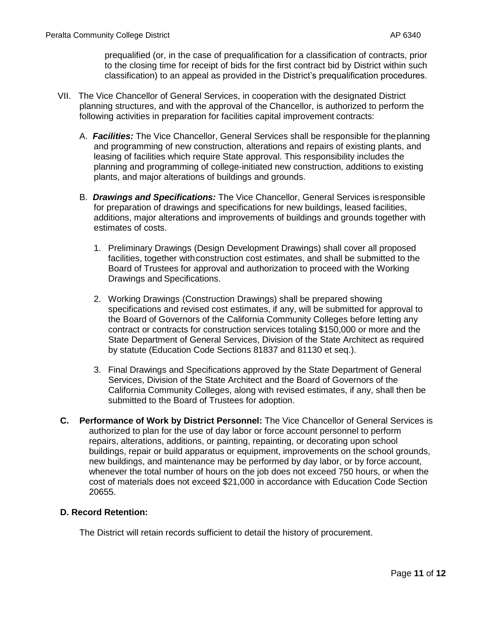prequalified (or, in the case of prequalification for a classification of contracts, prior to the closing time for receipt of bids for the first contract bid by District within such classification) to an appeal as provided in the District's prequalification procedures.

- VII. The Vice Chancellor of General Services, in cooperation with the designated District planning structures, and with the approval of the Chancellor, is authorized to perform the following activities in preparation for facilities capital improvement contracts:
	- A. *Facilities:* The Vice Chancellor, General Services shall be responsible for theplanning and programming of new construction, alterations and repairs of existing plants, and leasing of facilities which require State approval. This responsibility includes the planning and programming of college-initiated new construction, additions to existing plants, and major alterations of buildings and grounds.
	- B. *Drawings and Specifications:* The Vice Chancellor, General Services isresponsible for preparation of drawings and specifications for new buildings, leased facilities, additions, major alterations and improvements of buildings and grounds together with estimates of costs.
		- 1. Preliminary Drawings (Design Development Drawings) shall cover all proposed facilities, together withconstruction cost estimates, and shall be submitted to the Board of Trustees for approval and authorization to proceed with the Working Drawings and Specifications.
		- 2. Working Drawings (Construction Drawings) shall be prepared showing specifications and revised cost estimates, if any, will be submitted for approval to the Board of Governors of the California Community Colleges before letting any contract or contracts for construction services totaling \$150,000 or more and the State Department of General Services, Division of the State Architect as required by statute (Education Code Sections 81837 and 81130 et seq.).
		- 3. Final Drawings and Specifications approved by the State Department of General Services, Division of the State Architect and the Board of Governors of the California Community Colleges, along with revised estimates, if any, shall then be submitted to the Board of Trustees for adoption.
- **C. Performance of Work by District Personnel:** The Vice Chancellor of General Services is authorized to plan for the use of day labor or force account personnel to perform repairs, alterations, additions, or painting, repainting, or decorating upon school buildings, repair or build apparatus or equipment, improvements on the school grounds, new buildings, and maintenance may be performed by day labor, or by force account, whenever the total number of hours on the job does not exceed 750 hours, or when the cost of materials does not exceed \$21,000 in accordance with Education Code Section 20655.

# **D. Record Retention:**

The District will retain records sufficient to detail the history of procurement.